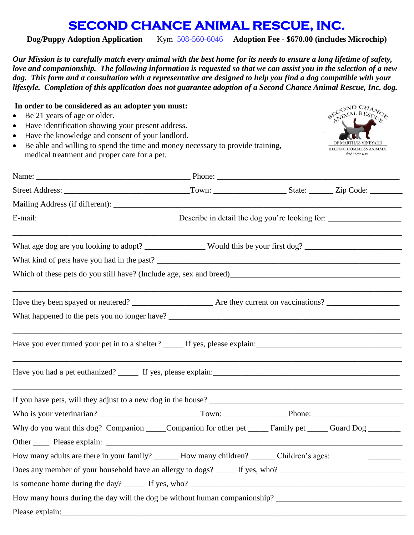## **SECOND CHANCE ANIMAL RESCUE, INC.**

**Dog/Puppy Adoption Application** Kym 508-560-6046 **Adoption Fee - \$670.00 (includes Microchip)** 

*Our Mission is to carefully match every animal with the best home for its needs to ensure a long lifetime of safety, love and companionship. The following information is requested so that we can assist you in the selection of a new dog. This form and a consultation with a representative are designed to help you find a dog compatible with your lifestyle.**Completion of this application does not guarantee adoption of a Second Chance Animal Rescue, Inc. dog.*

## **In order to be considered as an adopter you must:**

- Be 21 years of age or older.
- Have identification showing your present address.
- Have the knowledge and consent of your landlord.
- Be able and willing to spend the time and money necessary to provide training, medical treatment and proper care for a pet.



| E-mail: Describe in detail the dog you're looking for: _________________________                                                                                                                                           |  |  |
|----------------------------------------------------------------------------------------------------------------------------------------------------------------------------------------------------------------------------|--|--|
| What age dog are you looking to adopt? ________________ Would this be your first dog? ________________________                                                                                                             |  |  |
|                                                                                                                                                                                                                            |  |  |
|                                                                                                                                                                                                                            |  |  |
|                                                                                                                                                                                                                            |  |  |
|                                                                                                                                                                                                                            |  |  |
|                                                                                                                                                                                                                            |  |  |
|                                                                                                                                                                                                                            |  |  |
|                                                                                                                                                                                                                            |  |  |
|                                                                                                                                                                                                                            |  |  |
| Why do you want this dog? Companion _____Companion for other pet ______ Family pet _____ Guard Dog _______                                                                                                                 |  |  |
|                                                                                                                                                                                                                            |  |  |
| How many adults are there in your family? _______ How many children? ______ Children's ages: _________________                                                                                                             |  |  |
|                                                                                                                                                                                                                            |  |  |
| Is someone home during the day? $\frac{1}{\sqrt{1 + \left(1 + \frac{1}{2}\right)} \cdot \left(1 + \frac{1}{2}\right)}$ If yes, who? $\frac{1}{\sqrt{1 + \left(1 + \frac{1}{2}\right)} \cdot \left(1 + \frac{1}{2}\right)}$ |  |  |
| How many hours during the day will the dog be without human companionship? ___________________________________                                                                                                             |  |  |
|                                                                                                                                                                                                                            |  |  |